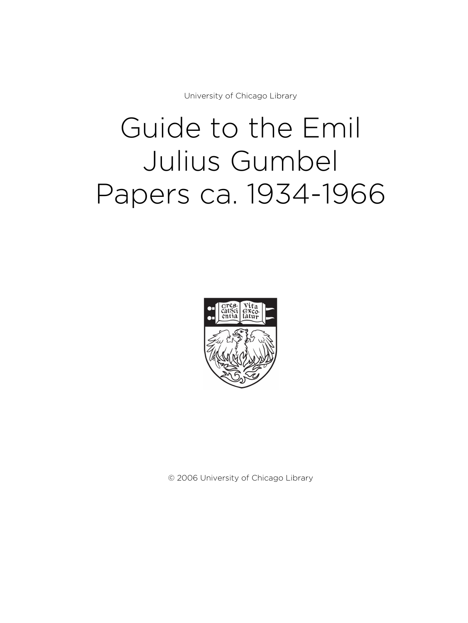University of Chicago Library

# Guide to the Emil Julius Gumbel Papers ca. 1934-1966



© 2006 University of Chicago Library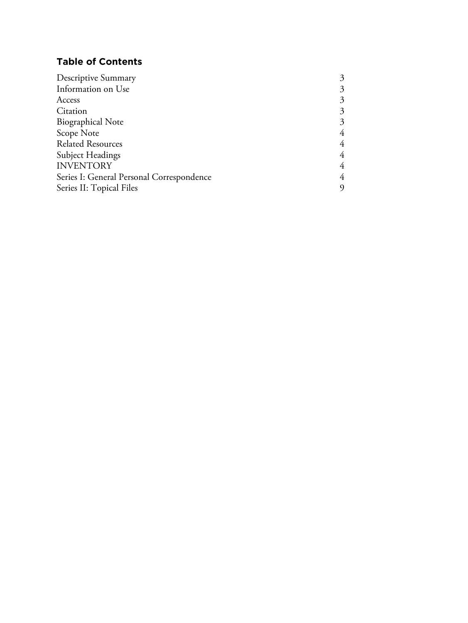# **Table of Contents**

| 3 |
|---|
| 3 |
| 3 |
|   |
| 4 |
| 4 |
| 4 |
| 4 |
|   |
|   |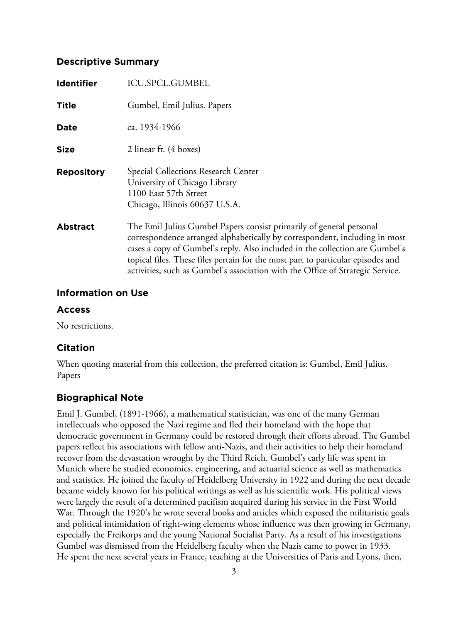## **Descriptive Summary**

| <b>Identifier</b> | <b>ICU.SPCL.GUMBEL</b>                                                                                                                                                                                                                                                                                                                                                                                 |
|-------------------|--------------------------------------------------------------------------------------------------------------------------------------------------------------------------------------------------------------------------------------------------------------------------------------------------------------------------------------------------------------------------------------------------------|
| <b>Title</b>      | Gumbel, Emil Julius. Papers                                                                                                                                                                                                                                                                                                                                                                            |
| Date              | ca. 1934-1966                                                                                                                                                                                                                                                                                                                                                                                          |
| <b>Size</b>       | 2 linear ft. (4 boxes)                                                                                                                                                                                                                                                                                                                                                                                 |
| <b>Repository</b> | Special Collections Research Center<br>University of Chicago Library<br>1100 East 57th Street<br>Chicago, Illinois 60637 U.S.A.                                                                                                                                                                                                                                                                        |
| <b>Abstract</b>   | The Emil Julius Gumbel Papers consist primarily of general personal<br>correspondence arranged alphabetically by correspondent, including in most<br>cases a copy of Gumbel's reply. Also included in the collection are Gumbel's<br>topical files. These files pertain for the most part to particular episodes and<br>activities, such as Gumbel's association with the Office of Strategic Service. |

## **Information on Use**

## **Access**

No restrictions.

## **Citation**

When quoting material from this collection, the preferred citation is: Gumbel, Emil Julius. Papers

# **Biographical Note**

Emil J. Gumbel, (1891-1966), a mathematical statistician, was one of the many German intellectuals who opposed the Nazi regime and fled their homeland with the hope that democratic government in Germany could be restored through their efforts abroad. The Gumbel papers reflect his associations with fellow anti-Nazis, and their activities to help their homeland recover from the devastation wrought by the Third Reich. Gumbel's early life was spent in Munich where he studied economics, engineering, and actuarial science as well as mathematics and statistics. He joined the faculty of Heidelberg University in 1922 and during the next decade became widely known for his political writings as well as his scientific work. His political views were largely the result of a determined pacifism acquired during his service in the First World War. Through the 1920's he wrote several books and articles which exposed the militaristic goals and political intimidation of right-wing elements whose influence was then growing in Germany, especially the Freikorps and the young National Socialist Party. As a result of his investigations Gumbel was dismissed from the Heidelberg faculty when the Nazis came to power in 1933. He spent the next several years in France, teaching at the Universities of Paris and Lyons, then,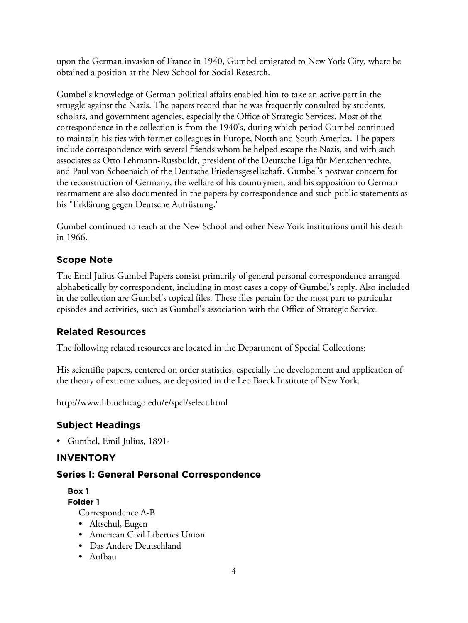upon the German invasion of France in 1940, Gumbel emigrated to New York City, where he obtained a position at the New School for Social Research.

Gumbel's knowledge of German political affairs enabled him to take an active part in the struggle against the Nazis. The papers record that he was frequently consulted by students, scholars, and government agencies, especially the Office of Strategic Services. Most of the correspondence in the collection is from the 1940's, during which period Gumbel continued to maintain his ties with former colleagues in Europe, North and South America. The papers include correspondence with several friends whom he helped escape the Nazis, and with such associates as Otto Lehmann-Russbuldt, president of the Deutsche Liga für Menschenrechte, and Paul von Schoenaich of the Deutsche Friedensgesellschaft. Gumbel's postwar concern for the reconstruction of Germany, the welfare of his countrymen, and his opposition to German rearmament are also documented in the papers by correspondence and such public statements as his "Erklärung gegen Deutsche Aufrüstung."

Gumbel continued to teach at the New School and other New York institutions until his death in 1966.

# **Scope Note**

The Emil Julius Gumbel Papers consist primarily of general personal correspondence arranged alphabetically by correspondent, including in most cases a copy of Gumbel's reply. Also included in the collection are Gumbel's topical files. These files pertain for the most part to particular episodes and activities, such as Gumbel's association with the Office of Strategic Service.

# **Related Resources**

The following related resources are located in the Department of Special Collections:

His scientific papers, centered on order statistics, especially the development and application of the theory of extreme values, are deposited in the Leo Baeck Institute of New York.

http://www.lib.uchicago.edu/e/spcl/select.html

# **Subject Headings**

• Gumbel, Emil Julius, 1891-

# **INVENTORY**

## **Series I: General Personal Correspondence**

# **Box 1**

**Folder 1**

Correspondence A-B

- Altschul, Eugen
- American Civil Liberties Union
- Das Andere Deutschland
- Aufbau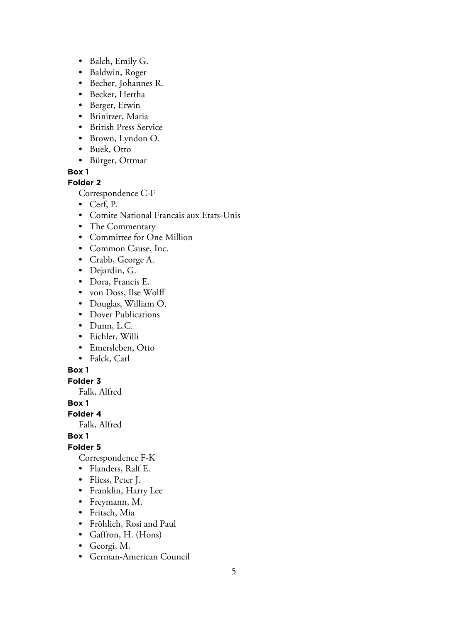- Balch, Emily G.
- Baldwin, Roger
- Becher, Johannes R.
- Becker, Hertha
- Berger, Erwin
- Brinitzer, Maria
- British Press Service
- Brown, Lyndon O.
- Buek, Otto
- Bürger, Ottmar

#### **Folder 2**

Correspondence C-F

- Cerf, P.
- Comite National Francais aux Etats-Unis
- The Commentary
- Committee for One Million
- Common Cause, Inc.
- Crabb, George A.
- Dejardin, G.
- Dora, Francis E.
- von Doss, Ilse Wolff
- Douglas, William O.
- Dover Publications
- Dunn, L.C.
- Eichler, Willi
- Emersleben, Otto
- Falck, Carl

#### **Box 1**

**Folder 3**

Falk, Alfred

**Box 1**

#### **Folder 4**

Falk, Alfred

**Box 1**

## **Folder 5**

Correspondence F-K

- Flanders, Ralf E.
- Fliess, Peter J.
- Franklin, Harry Lee
- Freymann, M.
- Fritsch, Mia
- Fröhlich, Rosi and Paul
- Gaffron, H. (Hons)
- Georgi, M.
- German-American Council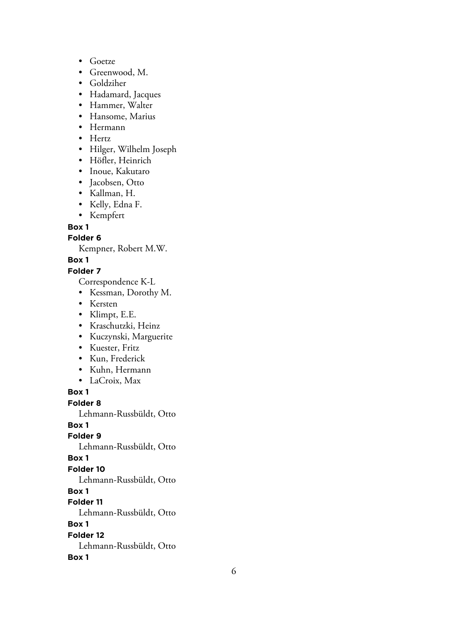- Goetze
- Greenwood, M.
- Goldziher
- Hadamard, Jacques
- Hammer, Walter
- Hansome, Marius
- Hermann
- Hertz
- Hilger, Wilhelm Joseph
- Höfler, Heinrich
- Inoue, Kakutaro
- Jacobsen, Otto
- Kallman, H.
- Kelly, Edna F.
- Kempfert

#### **Folder 6**

Kempner, Robert M.W.

**Box 1**

#### **Folder 7**

Correspondence K-L

- Kessman, Dorothy M.
- Kersten
- Klimpt, E.E.
- Kraschutzki, Heinz
- Kuczynski, Marguerite
- Kuester, Fritz
- Kun, Frederick
- Kuhn, Hermann
- LaCroix, Max

**Box 1**

#### **Folder 8**

Lehmann-Russbüldt, Otto

## **Box 1**

**Folder 9**

Lehmann-Russbüldt, Otto

#### **Box 1**

**Folder 10**

Lehmann-Russbüldt, Otto

## **Box 1**

**Folder 11**

Lehmann-Russbüldt, Otto

## **Box 1**

**Folder 12**

Lehmann-Russbüldt, Otto

#### **Box 1**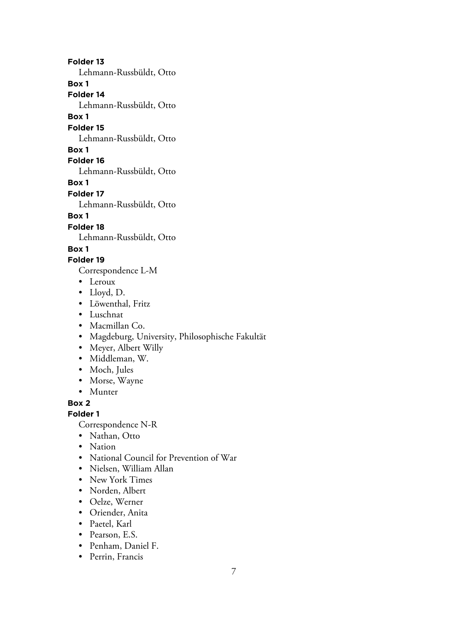#### **Folder 13**

Lehmann-Russbüldt, Otto

## **Box 1**

**Folder 14**

Lehmann-Russbüldt, Otto

## **Box 1**

**Folder 15**

Lehmann-Russbüldt, Otto

#### **Box 1**

**Folder 16**

Lehmann-Russbüldt, Otto

**Box 1**

**Folder 17**

Lehmann-Russbüldt, Otto

## **Box 1**

**Folder 18**

Lehmann-Russbüldt, Otto

## **Box 1**

**Folder 19**

Correspondence L-M

- Leroux
- Lloyd, D.
- Löwenthal, Fritz
- Luschnat
- Macmillan Co.
- Magdeburg, University, Philosophische Fakultät
- Meyer, Albert Willy
- Middleman, W.
- Moch, Jules
- Morse, Wayne
- Munter

**Box 2**

## **Folder 1**

Correspondence N-R

- Nathan, Otto
- Nation
- National Council for Prevention of War
- Nielsen, William Allan
- New York Times
- Norden, Albert
- Oelze, Werner
- Oriender, Anita
- Paetel, Karl
- Pearson, E.S.
- Penham, Daniel F.
- Perrin, Francis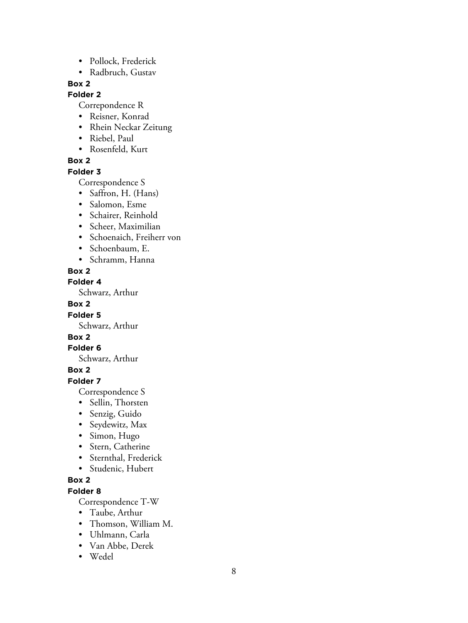- Pollock, Frederick
- Radbruch, Gustav

## **Folder 2**

Correpondence R

- Reisner, Konrad
- Rhein Neckar Zeitung
- Riebel, Paul
- Rosenfeld, Kurt

## **Box 2**

#### **Folder 3**

Correspondence S

- Saffron, H. (Hans)
- Salomon, Esme
- Schairer, Reinhold
- Scheer, Maximilian
- Schoenaich, Freiherr von
- Schoenbaum, E.
- Schramm, Hanna

#### **Box 2**

#### **Folder 4**

Schwarz, Arthur

#### **Box 2**

**Folder 5**

Schwarz, Arthur

## **Box 2**

#### **Folder 6**

Schwarz, Arthur

## **Box 2**

#### **Folder 7**

Correspondence S

- Sellin, Thorsten
- Senzig, Guido
- Seydewitz, Max
- Simon, Hugo
- Stern, Catherine
- Sternthal, Frederick
- Studenic, Hubert

# **Box 2**

## **Folder 8**

Correspondence T-W

- Taube, Arthur
- Thomson, William M.
- Uhlmann, Carla
- Van Abbe, Derek
- Wedel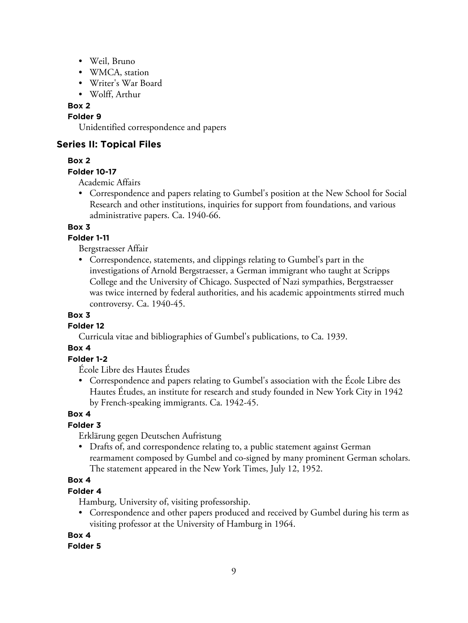- Weil, Bruno
- WMCA, station
- Writer's War Board
- Wolff, Arthur

**Folder 9**

Unidentified correspondence and papers

## **Series II: Topical Files**

## **Box 2**

#### **Folder 10-17**

Academic Affairs

• Correspondence and papers relating to Gumbel's position at the New School for Social Research and other institutions, inquiries for support from foundations, and various administrative papers. Ca. 1940-66.

## **Box 3**

## **Folder 1-11**

Bergstraesser Affair

• Correspondence, statements, and clippings relating to Gumbel's part in the investigations of Arnold Bergstraesser, a German immigrant who taught at Scripps College and the University of Chicago. Suspected of Nazi sympathies, Bergstraesser was twice interned by federal authorities, and his academic appointments stirred much controversy. Ca. 1940-45.

## **Box 3**

#### **Folder 12**

Curricula vitae and bibliographies of Gumbel's publications, to Ca. 1939.

## **Box 4**

## **Folder 1-2**

École Libre des Hautes Études

• Correspondence and papers relating to Gumbel's association with the École Libre des Hautes Études, an institute for research and study founded in New York City in 1942 by French-speaking immigrants. Ca. 1942-45.

# **Box 4**

## **Folder 3**

Erklärung gegen Deutschen Aufristung

• Drafts of, and correspondence relating to, a public statement against German rearmament composed by Gumbel and co-signed by many prominent German scholars. The statement appeared in the New York Times, July 12, 1952.

## **Box 4**

## **Folder 4**

Hamburg, University of, visiting professorship.

• Correspondence and other papers produced and received by Gumbel during his term as visiting professor at the University of Hamburg in 1964.

#### **Box 4**

#### **Folder 5**